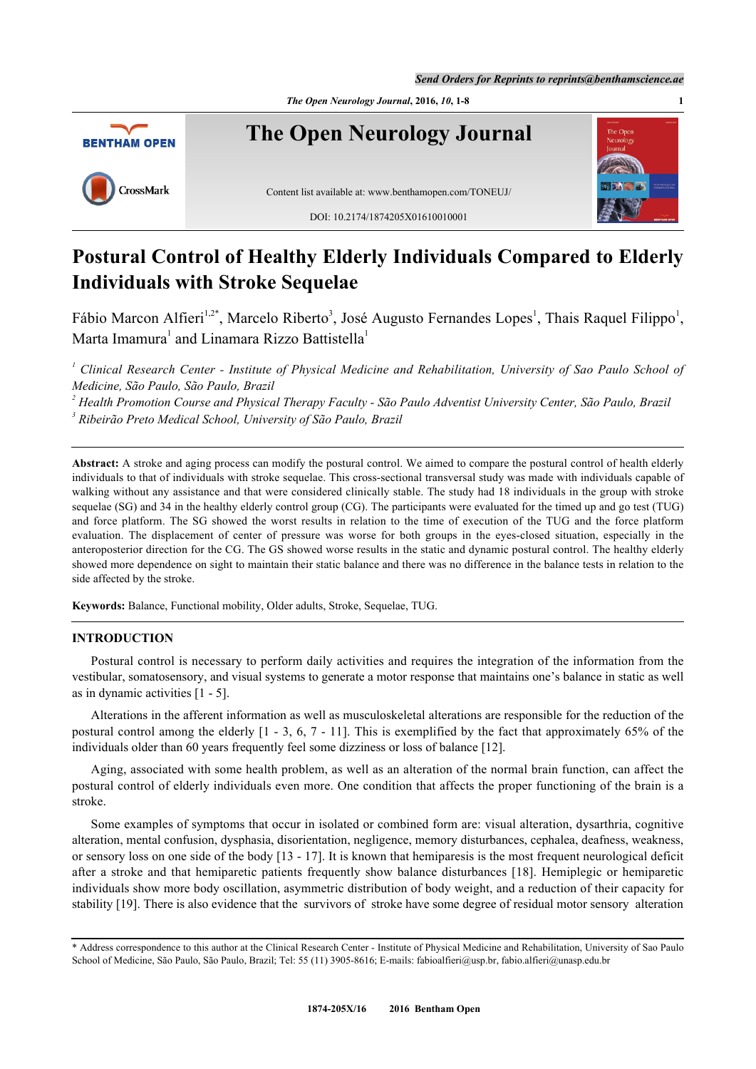*The Open Neurology Journal***, 2016,** *10***, 1-8 1**



# **Postural Control of Healthy Elderly Individuals Compared to Elderly Individuals with Stroke Sequelae**

Fábio Marcon Alfieri<sup>[1](#page-0-0),[2](#page-0-1)[\\*](#page-0-2)</sup>, Marcelo Riberto<sup>[3](#page-0-3)</sup>, José Augusto Fernandes Lopes<sup>1</sup>, Thais Raquel Filippo<sup>1</sup>, Marta Imamura<sup>[1](#page-0-0)</sup> and Linamara Rizzo Battistella<sup>1</sup>

<span id="page-0-0"></span><sup>1</sup> Clinical Research Center - Institute of Physical Medicine and Rehabilitation, University of Sao Paulo School of *Medicine, São Paulo, São Paulo, Brazil*

<span id="page-0-3"></span><span id="page-0-1"></span><sup>2</sup> Health Promotion Course and Physical Therapy Faculty - São Paulo Adventist University Center, São Paulo, Brazil *3 Ribeirão Preto Medical School, University of São Paulo, Brazil*

**Abstract:** A stroke and aging process can modify the postural control. We aimed to compare the postural control of health elderly individuals to that of individuals with stroke sequelae. This cross-sectional transversal study was made with individuals capable of walking without any assistance and that were considered clinically stable. The study had 18 individuals in the group with stroke sequelae (SG) and 34 in the healthy elderly control group (CG). The participants were evaluated for the timed up and go test (TUG) and force platform. The SG showed the worst results in relation to the time of execution of the TUG and the force platform evaluation. The displacement of center of pressure was worse for both groups in the eyes-closed situation, especially in the anteroposterior direction for the CG. The GS showed worse results in the static and dynamic postural control. The healthy elderly showed more dependence on sight to maintain their static balance and there was no difference in the balance tests in relation to the side affected by the stroke.

**Keywords: Balance, Functional mobility, Older adults, Stroke, Sequelae, TUG.** 

### **INTRODUCTION**

Postural control is necessary to perform daily activities and requires the integration of the information from the vestibular, somatosensory, and visual systems to generate a motor response that maintains one's balance in static as well as in dynamic activities [[1](#page-5-0) - [5](#page-5-1)].

Alterations in the afferent information as well as musculoskeletal alterations are responsible for the reduction of the postural control among the elderly [\[1](#page-5-0) - [3,](#page-5-2) [6,](#page-5-3) [7](#page-5-4) - [11](#page-5-5)]. This is exemplified by the fact that approximately 65% of the individuals older than 60 years frequently feel some dizziness or loss of balance [\[12](#page-5-6)].

Aging, associated with some health problem, as well as an alteration of the normal brain function, can affect the postural control of elderly individuals even more. One condition that affects the proper functioning of the brain is a stroke.

Some examples of symptoms that occur in isolated or combined form are: visual alteration, dysarthria, cognitive alteration, mental confusion, dysphasia, disorientation, negligence, memory disturbances, cephalea, deafness, weakness, or sensory loss on one side of the body [\[13](#page-5-7) - [17](#page-5-8)]. It is known that hemiparesis is the most frequent neurological deficit after a stroke and that hemiparetic patients frequently show balance disturbances [[18\]](#page-5-9). Hemiplegic or hemiparetic individuals show more body oscillation, asymmetric distribution of body weight, and a reduction of their capacity for stability [[19\]](#page-5-10). There is also evidence that the survivors of stroke have some degree of residual motor sensory alteration

<span id="page-0-2"></span><sup>\*</sup> Address correspondence to this author at the Clinical Research Center - Institute of Physical Medicine and Rehabilitation, University of Sao Paulo School of Medicine, São Paulo, São Paulo, Brazil; Tel: 55 (11) 3905-8616; E-mails: [fabioalfieri@usp.br,](mailto:fabioalfieri@usp.br) [fabio.alfieri@unasp.edu.br](mailto:fabio.alfieri@unasp.edu.br)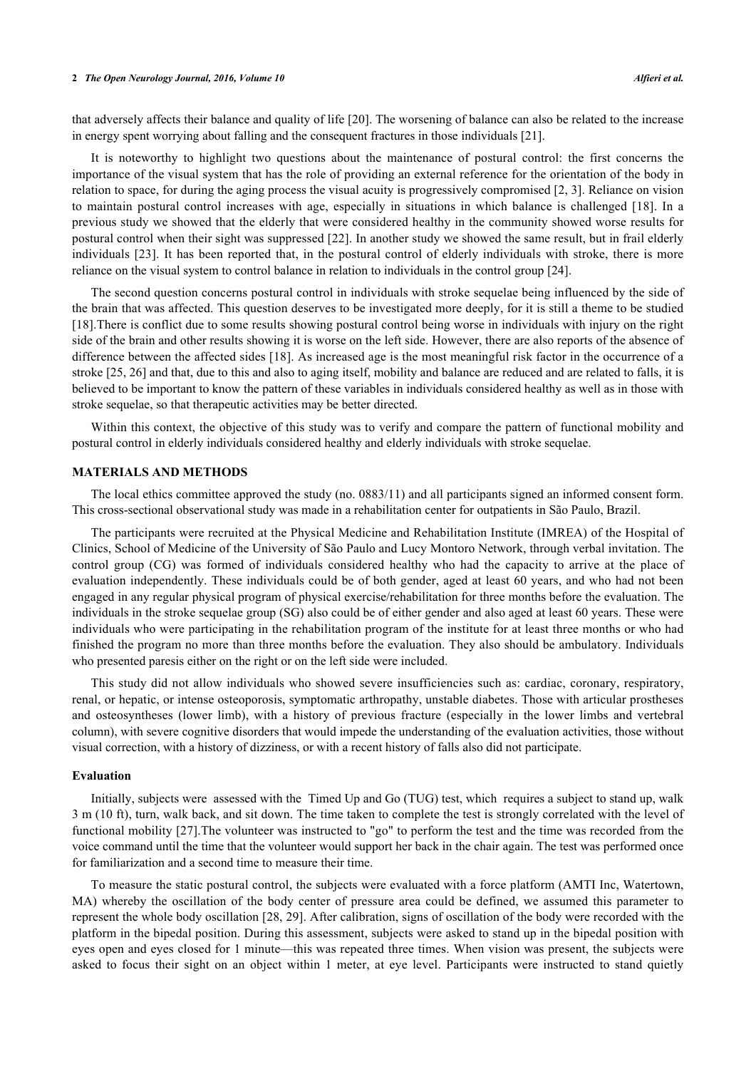#### **2** *The Open Neurology Journal, 2016, Volume 10 Alfieri et al.*

that adversely affects their balance and quality of life [\[20](#page-5-11)]. The worsening of balance can also be related to the increase in energy spent worrying about falling and the consequent fractures in those individuals [[21\]](#page-5-12).

It is noteworthy to highlight two questions about the maintenance of postural control: the first concerns the importance of the visual system that has the role of providing an external reference for the orientation of the body in relation to space, for during the aging process the visual acuity is progressively compromised [[2](#page-5-13)[, 3\]](#page-5-2). Reliance on vision to maintain postural control increases with age, especially in situations in which balance is challenged [\[18\]](#page-5-9). In a previous study we showed that the elderly that were considered healthy in the community showed worse results for postural control when their sight was suppressed [\[22\]](#page-5-14). In another study we showed the same result, but in frail elderly individuals [\[23\]](#page-5-15). It has been reported that, in the postural control of elderly individuals with stroke, there is more reliance on the visual system to control balance in relation to individuals in the control group [\[24](#page-5-16)].

The second question concerns postural control in individuals with stroke sequelae being influenced by the side of the brain that was affected. This question deserves to be investigated more deeply, for it is still a theme to be studied [\[18](#page-5-9)].There is conflict due to some results showing postural control being worse in individuals with injury on the right side of the brain and other results showing it is worse on the left side. However, there are also reports of the absence of difference between the affected sides [[18\]](#page-5-9). As increased age is the most meaningful risk factor in the occurrence of a stroke [[25](#page-6-0)[, 26\]](#page-6-1) and that, due to this and also to aging itself, mobility and balance are reduced and are related to falls, it is believed to be important to know the pattern of these variables in individuals considered healthy as well as in those with stroke sequelae, so that therapeutic activities may be better directed.

Within this context, the objective of this study was to verify and compare the pattern of functional mobility and postural control in elderly individuals considered healthy and elderly individuals with stroke sequelae.

#### **MATERIALS AND METHODS**

The local ethics committee approved the study (no. 0883/11) and all participants signed an informed consent form. This cross-sectional observational study was made in a rehabilitation center for outpatients in São Paulo, Brazil.

The participants were recruited at the Physical Medicine and Rehabilitation Institute (IMREA) of the Hospital of Clinics, School of Medicine of the University of São Paulo and Lucy Montoro Network, through verbal invitation. The control group (CG) was formed of individuals considered healthy who had the capacity to arrive at the place of evaluation independently. These individuals could be of both gender, aged at least 60 years, and who had not been engaged in any regular physical program of physical exercise/rehabilitation for three months before the evaluation. The individuals in the stroke sequelae group (SG) also could be of either gender and also aged at least 60 years. These were individuals who were participating in the rehabilitation program of the institute for at least three months or who had finished the program no more than three months before the evaluation. They also should be ambulatory. Individuals who presented paresis either on the right or on the left side were included.

This study did not allow individuals who showed severe insufficiencies such as: cardiac, coronary, respiratory, renal, or hepatic, or intense osteoporosis, symptomatic arthropathy, unstable diabetes. Those with articular prostheses and osteosyntheses (lower limb), with a history of previous fracture (especially in the lower limbs and vertebral column), with severe cognitive disorders that would impede the understanding of the evaluation activities, those without visual correction, with a history of dizziness, or with a recent history of falls also did not participate.

#### **Evaluation**

Initially, subjects were assessed with the Timed Up and Go (TUG) test, which requires a subject to stand up, walk 3 m (10 ft), turn, walk back, and sit down. The time taken to complete the test is strongly correlated with the level of functional mobility [[27](#page-6-2)].The volunteer was instructed to "go" to perform the test and the time was recorded from the voice command until the time that the volunteer would support her back in the chair again. The test was performed once for familiarization and a second time to measure their time.

To measure the static postural control, the subjects were evaluated with a force platform (AMTI Inc, Watertown, MA) whereby the oscillation of the body center of pressure area could be defined, we assumed this parameter to represent the whole body oscillation [[28](#page-6-3), [29](#page-6-4)]. After calibration, signs of oscillation of the body were recorded with the platform in the bipedal position. During this assessment, subjects were asked to stand up in the bipedal position with eyes open and eyes closed for 1 minute—this was repeated three times. When vision was present, the subjects were asked to focus their sight on an object within 1 meter, at eye level. Participants were instructed to stand quietly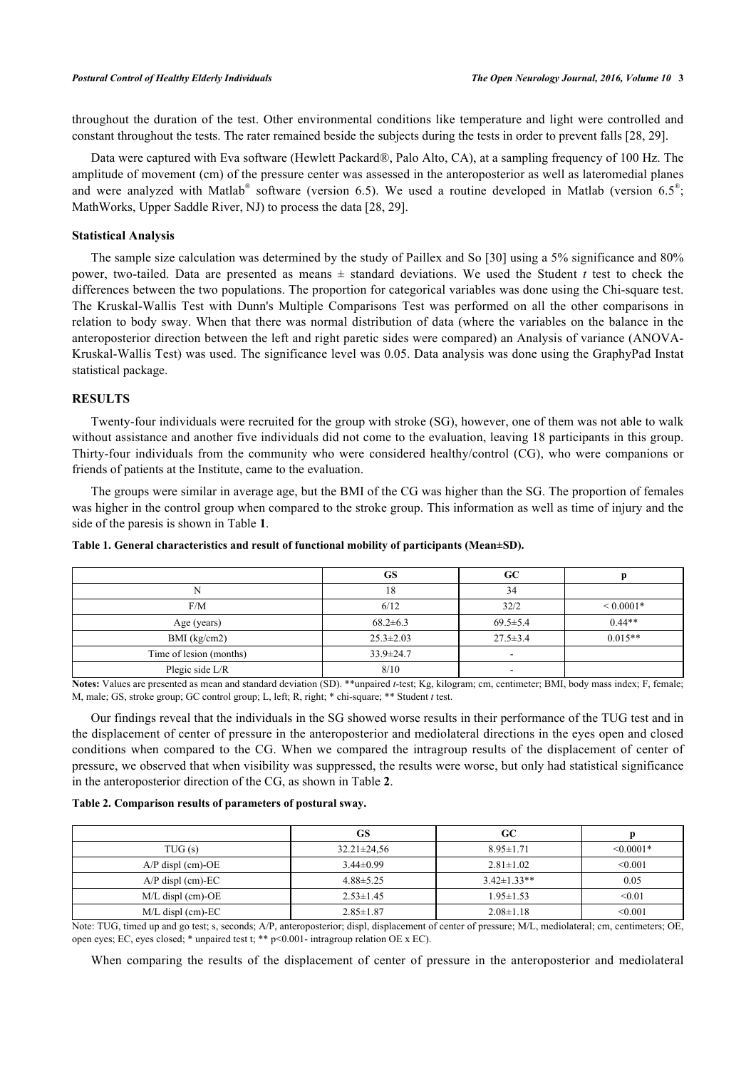throughout the duration of the test. Other environmental conditions like temperature and light were controlled and constant throughout the tests. The rater remained beside the subjects during the tests in order to prevent falls [[28](#page-6-3)[, 29\]](#page-6-4).

Data were captured with Eva software (Hewlett Packard®, Palo Alto, CA), at a sampling frequency of 100 Hz. The amplitude of movement (cm) of the pressure center was assessed in the anteroposterior as well as lateromedial planes and were analyzed with Matlab® software (version 6.5). We used a routine developed in Matlab (version 6.5<sup>®</sup>; MathWorks, Upper Saddle River, NJ) to process the data [[28](#page-6-3)[, 29\]](#page-6-4).

#### **Statistical Analysis**

The sample size calculation was determined by the study of Paillex and So [[30\]](#page-6-5) using a 5% significance and 80% power, two-tailed. Data are presented as means  $\pm$  standard deviations. We used the Student *t* test to check the differences between the two populations. The proportion for categorical variables was done using the Chi-square test. The Kruskal-Wallis Test with Dunn's Multiple Comparisons Test was performed on all the other comparisons in relation to body sway. When that there was normal distribution of data (where the variables on the balance in the anteroposterior direction between the left and right paretic sides were compared) an Analysis of variance (ANOVA-Kruskal-Wallis Test) was used. The significance level was 0.05. Data analysis was done using the GraphyPad Instat statistical package.

### **RESULTS**

Twenty-four individuals were recruited for the group with stroke (SG), however, one of them was not able to walk without assistance and another five individuals did not come to the evaluation, leaving 18 participants in this group. Thirty-four individuals from the community who were considered healthy/control (CG), who were companions or friends of patients at the Institute, came to the evaluation.

The groups were similar in average age, but the BMI of the CG was higher than the SG. The proportion of females was higher in the control group when compared to the stroke group. This information as well as time of injury and the side of the paresis is shown in Table **[1](#page-2-0)**.

|                         | GS              | GC             |               |
|-------------------------|-----------------|----------------|---------------|
|                         | 18              | 34             |               |
| F/M                     | 6/12            | 32/2           | ${}< 0.0001*$ |
| Age (years)             | $68.2 \pm 6.3$  | $69.5 \pm 5.4$ | $0.44**$      |
| $BMI$ (kg/cm2)          | $25.3 \pm 2.03$ | $27.5 \pm 3.4$ | $0.015**$     |
| Time of lesion (months) | $33.9 \pm 24.7$ |                |               |
| Plegic side L/R         | 8/10            |                |               |

<span id="page-2-0"></span>**Table 1. General characteristics and result of functional mobility of participants (Mean±SD).**

**Notes:** Values are presented as mean and standard deviation (SD). \*\*unpaired *t-*test; Kg, kilogram; cm, centimeter; BMI, body mass index; F, female; M, male; GS, stroke group; GC control group; L, left; R, right; \* chi-square; \*\* Student *t* test.

Our findings reveal that the individuals in the SG showed worse results in their performance of the TUG test and in the displacement of center of pressure in the anteroposterior and mediolateral directions in the eyes open and closed conditions when compared to the CG. When we compared the intragroup results of the displacement of center of pressure, we observed that when visibility was suppressed, the results were worse, but only had statistical significance in the anteroposterior direction of the CG, as shown in Table **[2](#page-2-1)**.

#### <span id="page-2-1"></span>**Table 2. Comparison results of parameters of postural sway.**

|                     | GS                | GC                 |             |
|---------------------|-------------------|--------------------|-------------|
| TUG(s)              | $32.21 \pm 24.56$ | $8.95 \pm 1.71$    | $< 0.0001*$ |
| $A/P$ displ (cm)-OE | $3.44\pm0.99$     | $2.81 \pm 1.02$    | < 0.001     |
| $A/P$ displ (cm)-EC | $4.88 \pm 5.25$   | $3.42 \pm 1.33$ ** | 0.05        |
| $M/L$ displ (cm)-OE | $2.53 \pm 1.45$   | $1.95 \pm 1.53$    | < 0.01      |
| $M/L$ displ (cm)-EC | $2.85 \pm 1.87$   | $2.08 \pm 1.18$    | < 0.001     |

Note: TUG, timed up and go test; s, seconds; A/P, anteroposterior; displ, displacement of center of pressure; M/L, mediolateral; cm, centimeters; OE, open eyes; EC, eyes closed; \* unpaired test t; \*\* p<0.001- intragroup relation OE x EC).

When comparing the results of the displacement of center of pressure in the anteroposterior and mediolateral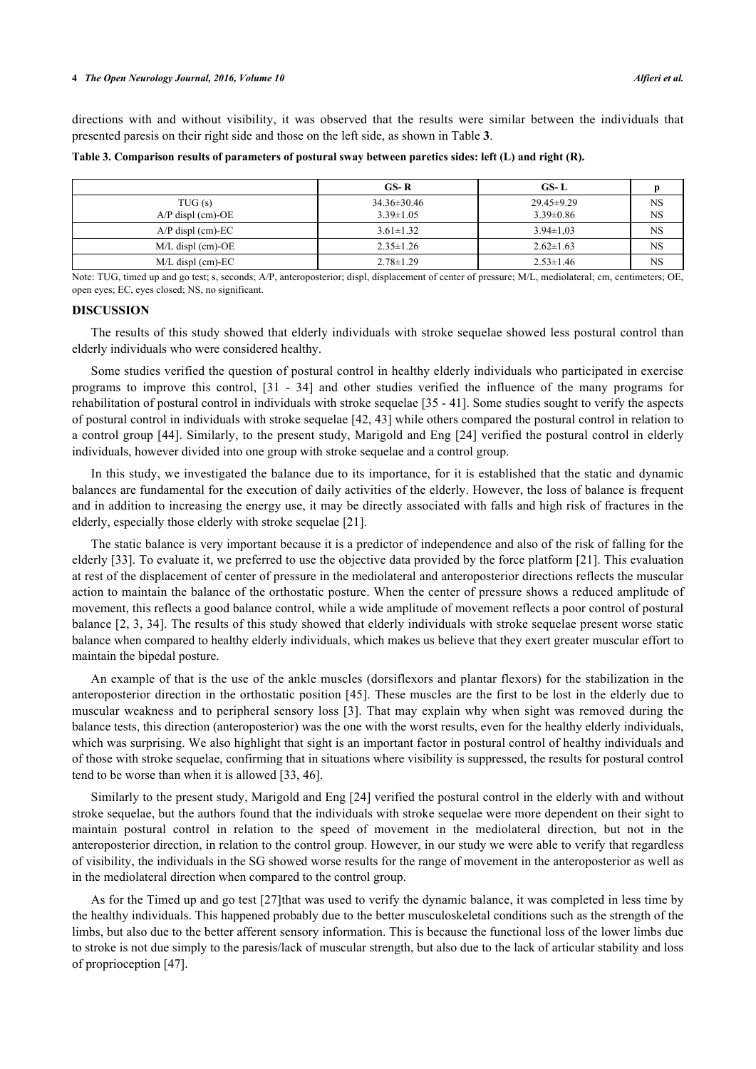directions with and without visibility, it was observed that the results were similar between the individuals that presented paresis on their right side and those on the left side, as shown in Table **[3](#page-3-0)**.

<span id="page-3-0"></span>**Table 3. Comparison results of parameters of postural sway between paretics sides: left (L) and right (R).**

|                     | $GS-R$            | GS-L             |           |
|---------------------|-------------------|------------------|-----------|
| TUG(s)              | $34.36 \pm 30.46$ | $29.45 \pm 9.29$ | <b>NS</b> |
| $A/P$ displ (cm)-OE | $3.39 \pm 1.05$   | $3.39\pm0.86$    | <b>NS</b> |
| $A/P$ displ (cm)-EC | $3.61 \pm 1.32$   | $3.94 \pm 1.03$  | <b>NS</b> |
| $M/L$ displ (cm)-OE | $2.35 \pm 1.26$   | $2.62 \pm 1.63$  | NS.       |
| $M/L$ displ (cm)-EC | $2.78 \pm 1.29$   | $2.53 \pm 1.46$  | <b>NS</b> |

Note: TUG, timed up and go test; s, seconds; A/P, anteroposterior; displ, displacement of center of pressure; M/L, mediolateral; cm, centimeters; OE, open eyes; EC, eyes closed; NS, no significant.

#### **DISCUSSION**

The results of this study showed that elderly individuals with stroke sequelae showed less postural control than elderly individuals who were considered healthy.

Some studies verified the question of postural control in healthy elderly individuals who participated in exercise programs to improve this control, [\[31](#page-6-6) - [34](#page-6-7)] and other studies verified the influence of the many programs for rehabilitation of postural control in individuals with stroke sequelae [\[35](#page-6-8) - [41](#page-6-9)]. Some studies sought to verify the aspects of postural control in individuals with stroke sequelae [\[42](#page-6-10), [43](#page-6-11)] while others compared the postural control in relation to a control group [[44\]](#page-6-12). Similarly, to the present study, Marigold and Eng [[24](#page-5-16)] verified the postural control in elderly individuals, however divided into one group with stroke sequelae and a control group.

In this study, we investigated the balance due to its importance, for it is established that the static and dynamic balances are fundamental for the execution of daily activities of the elderly. However, the loss of balance is frequent and in addition to increasing the energy use, it may be directly associated with falls and high risk of fractures in the elderly, especially those elderly with stroke sequelae [\[21](#page-5-12)].

The static balance is very important because it is a predictor of independence and also of the risk of falling for the elderly [[33\]](#page-6-13). To evaluate it, we preferred to use the objective data provided by the force platform [\[21](#page-5-12)]. This evaluation at rest of the displacement of center of pressure in the mediolateral and anteroposterior directions reflects the muscular action to maintain the balance of the orthostatic posture. When the center of pressure shows a reduced amplitude of movement, this reflects a good balance control, while a wide amplitude of movement reflects a poor control of postural balance [\[2](#page-5-13), [3](#page-5-2), [34\]](#page-6-7). The results of this study showed that elderly individuals with stroke sequelae present worse static balance when compared to healthy elderly individuals, which makes us believe that they exert greater muscular effort to maintain the bipedal posture.

An example of that is the use of the ankle muscles (dorsiflexors and plantar flexors) for the stabilization in the anteroposterior direction in the orthostatic position [[45\]](#page-7-0). These muscles are the first to be lost in the elderly due to muscular weakness and to peripheral sensory loss [[3](#page-5-2)]. That may explain why when sight was removed during the balance tests, this direction (anteroposterior) was the one with the worst results, even for the healthy elderly individuals, which was surprising. We also highlight that sight is an important factor in postural control of healthy individuals and of those with stroke sequelae, confirming that in situations where visibility is suppressed, the results for postural control tend to be worse than when it is allowed [[33,](#page-6-13) [46\]](#page-7-1).

Similarly to the present study, Marigold and Eng [[24\]](#page-5-16) verified the postural control in the elderly with and without stroke sequelae, but the authors found that the individuals with stroke sequelae were more dependent on their sight to maintain postural control in relation to the speed of movement in the mediolateral direction, but not in the anteroposterior direction, in relation to the control group. However, in our study we were able to verify that regardless of visibility, the individuals in the SG showed worse results for the range of movement in the anteroposterior as well as in the mediolateral direction when compared to the control group.

As for the Timed up and go test [\[27](#page-6-2)]that was used to verify the dynamic balance, it was completed in less time by the healthy individuals. This happened probably due to the better musculoskeletal conditions such as the strength of the limbs, but also due to the better afferent sensory information. This is because the functional loss of the lower limbs due to stroke is not due simply to the paresis/lack of muscular strength, but also due to the lack of articular stability and loss of proprioception [\[47](#page-7-2)].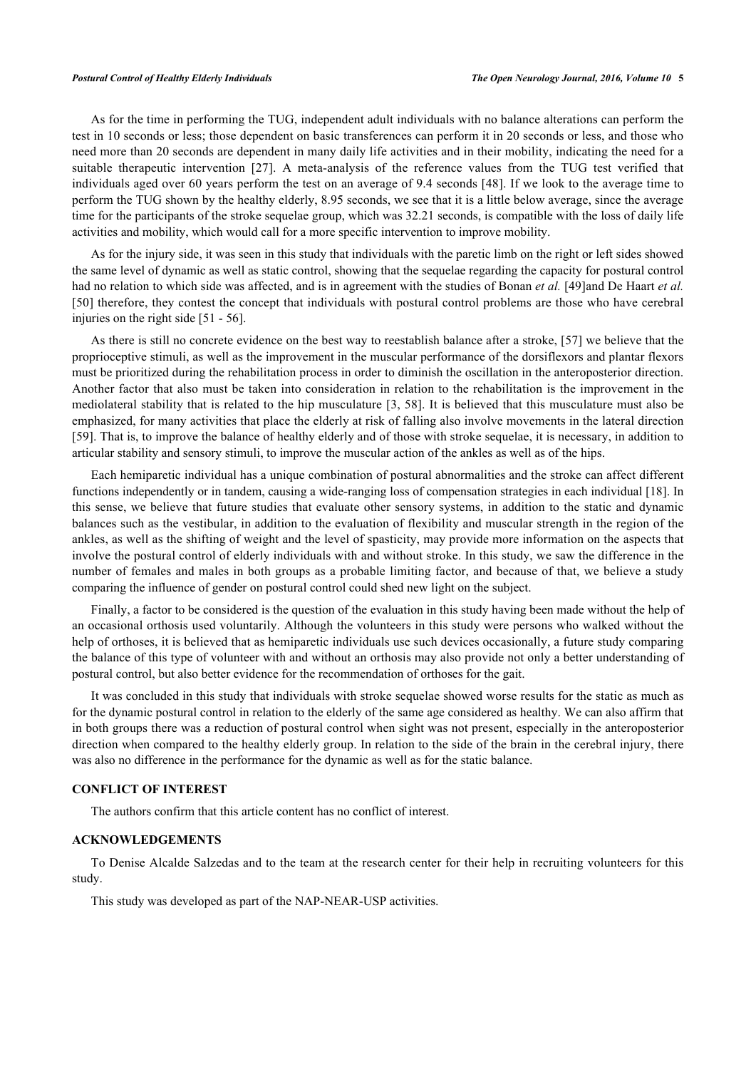As for the time in performing the TUG, independent adult individuals with no balance alterations can perform the test in 10 seconds or less; those dependent on basic transferences can perform it in 20 seconds or less, and those who need more than 20 seconds are dependent in many daily life activities and in their mobility, indicating the need for a suitable therapeutic intervention [\[27\]](#page-6-2). A meta-analysis of the reference values from the TUG test verified that individuals aged over 60 years perform the test on an average of 9.4 seconds [[48\]](#page-7-3). If we look to the average time to perform the TUG shown by the healthy elderly, 8.95 seconds, we see that it is a little below average, since the average time for the participants of the stroke sequelae group, which was 32.21 seconds, is compatible with the loss of daily life activities and mobility, which would call for a more specific intervention to improve mobility.

As for the injury side, it was seen in this study that individuals with the paretic limb on the right or left sides showed the same level of dynamic as well as static control, showing that the sequelae regarding the capacity for postural control had no relation to which side was affected, and is in agreement with the studies of Bonan *et al.* [[49](#page-7-4)]and De Haart *et al.* [\[50](#page-7-5)] therefore, they contest the concept that individuals with postural control problems are those who have cerebral injuries on the right side [[51](#page-7-6) - [56](#page-7-7)].

As there is still no concrete evidence on the best way to reestablish balance after a stroke, [\[57](#page-7-8)] we believe that the proprioceptive stimuli, as well as the improvement in the muscular performance of the dorsiflexors and plantar flexors must be prioritized during the rehabilitation process in order to diminish the oscillation in the anteroposterior direction. Another factor that also must be taken into consideration in relation to the rehabilitation is the improvement in the mediolateral stability that is related to the hip musculature [[3](#page-5-2)[, 58\]](#page-7-9). It is believed that this musculature must also be emphasized, for many activities that place the elderly at risk of falling also involve movements in the lateral direction [\[59](#page-7-10)]. That is, to improve the balance of healthy elderly and of those with stroke sequelae, it is necessary, in addition to articular stability and sensory stimuli, to improve the muscular action of the ankles as well as of the hips.

Each hemiparetic individual has a unique combination of postural abnormalities and the stroke can affect different functions independently or in tandem, causing a wide-ranging loss of compensation strategies in each individual [[18\]](#page-5-9). In this sense, we believe that future studies that evaluate other sensory systems, in addition to the static and dynamic balances such as the vestibular, in addition to the evaluation of flexibility and muscular strength in the region of the ankles, as well as the shifting of weight and the level of spasticity, may provide more information on the aspects that involve the postural control of elderly individuals with and without stroke. In this study, we saw the difference in the number of females and males in both groups as a probable limiting factor, and because of that, we believe a study comparing the influence of gender on postural control could shed new light on the subject.

Finally, a factor to be considered is the question of the evaluation in this study having been made without the help of an occasional orthosis used voluntarily. Although the volunteers in this study were persons who walked without the help of orthoses, it is believed that as hemiparetic individuals use such devices occasionally, a future study comparing the balance of this type of volunteer with and without an orthosis may also provide not only a better understanding of postural control, but also better evidence for the recommendation of orthoses for the gait.

It was concluded in this study that individuals with stroke sequelae showed worse results for the static as much as for the dynamic postural control in relation to the elderly of the same age considered as healthy. We can also affirm that in both groups there was a reduction of postural control when sight was not present, especially in the anteroposterior direction when compared to the healthy elderly group. In relation to the side of the brain in the cerebral injury, there was also no difference in the performance for the dynamic as well as for the static balance.

# **CONFLICT OF INTEREST**

The authors confirm that this article content has no conflict of interest.

## **ACKNOWLEDGEMENTS**

To Denise Alcalde Salzedas and to the team at the research center for their help in recruiting volunteers for this study.

This study was developed as part of the NAP-NEAR-USP activities.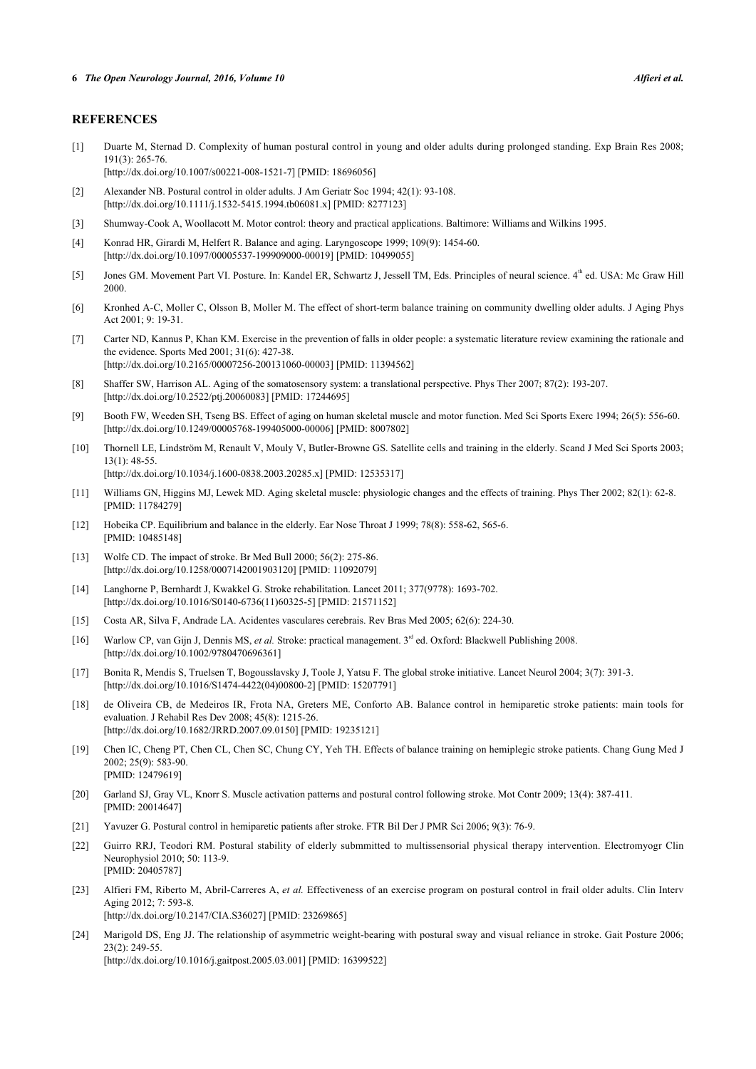#### **REFERENCES**

- <span id="page-5-0"></span>[1] Duarte M, Sternad D. Complexity of human postural control in young and older adults during prolonged standing. Exp Brain Res 2008; 191(3): 265-76.
	- [\[http://dx.doi.org/10.1007/s00221-008-1521-7\]](http://dx.doi.org/10.1007/s00221-008-1521-7) [PMID: [18696056](http://www.ncbi.nlm.nih.gov/pubmed/18696056)]
- <span id="page-5-13"></span>[2] Alexander NB. Postural control in older adults. J Am Geriatr Soc 1994; 42(1): 93-108. [\[http://dx.doi.org/10.1111/j.1532-5415.1994.tb06081.x\]](http://dx.doi.org/10.1111/j.1532-5415.1994.tb06081.x) [PMID: [8277123](http://www.ncbi.nlm.nih.gov/pubmed/8277123)]
- <span id="page-5-2"></span>[3] Shumway-Cook A, Woollacott M. Motor control: theory and practical applications. Baltimore: Williams and Wilkins 1995.
- [4] Konrad HR, Girardi M, Helfert R. Balance and aging. Laryngoscope 1999; 109(9): 1454-60. [\[http://dx.doi.org/10.1097/00005537-199909000-00019](http://dx.doi.org/10.1097/00005537-199909000-00019)] [PMID: [10499055\]](http://www.ncbi.nlm.nih.gov/pubmed/10499055)
- <span id="page-5-1"></span>[5] Jones GM. Movement Part VI. Posture. In: Kandel ER, Schwartz J, Jessell TM, Eds. Principles of neural science. 4<sup>th</sup> ed. USA: Mc Graw Hill 2000.
- <span id="page-5-3"></span>[6] Kronhed A-C, Moller C, Olsson B, Moller M. The effect of short-term balance training on community dwelling older adults. J Aging Phys Act 2001; 9: 19-31.
- <span id="page-5-4"></span>[7] Carter ND, Kannus P, Khan KM. Exercise in the prevention of falls in older people: a systematic literature review examining the rationale and the evidence. Sports Med 2001; 31(6): 427-38. [\[http://dx.doi.org/10.2165/00007256-200131060-00003](http://dx.doi.org/10.2165/00007256-200131060-00003)] [PMID: [11394562\]](http://www.ncbi.nlm.nih.gov/pubmed/11394562)
- [8] Shaffer SW, Harrison AL. Aging of the somatosensory system: a translational perspective. Phys Ther 2007; 87(2): 193-207. [\[http://dx.doi.org/10.2522/ptj.20060083](http://dx.doi.org/10.2522/ptj.20060083)] [PMID: [17244695\]](http://www.ncbi.nlm.nih.gov/pubmed/17244695)
- [9] Booth FW, Weeden SH, Tseng BS. Effect of aging on human skeletal muscle and motor function. Med Sci Sports Exerc 1994; 26(5): 556-60. [\[http://dx.doi.org/10.1249/00005768-199405000-00006](http://dx.doi.org/10.1249/00005768-199405000-00006)] [PMID: [8007802\]](http://www.ncbi.nlm.nih.gov/pubmed/8007802)
- [10] Thornell LE, Lindström M, Renault V, Mouly V, Butler-Browne GS. Satellite cells and training in the elderly. Scand J Med Sci Sports 2003; 13(1): 48-55. [\[http://dx.doi.org/10.1034/j.1600-0838.2003.20285.x\]](http://dx.doi.org/10.1034/j.1600-0838.2003.20285.x) [PMID: [12535317](http://www.ncbi.nlm.nih.gov/pubmed/12535317)]
- <span id="page-5-5"></span>[11] Williams GN, Higgins MJ, Lewek MD. Aging skeletal muscle: physiologic changes and the effects of training. Phys Ther 2002; 82(1): 62-8. [PMID: [11784279\]](http://www.ncbi.nlm.nih.gov/pubmed/11784279)
- <span id="page-5-6"></span>[12] Hobeika CP. Equilibrium and balance in the elderly. Ear Nose Throat J 1999; 78(8): 558-62, 565-6. [PMID: [10485148\]](http://www.ncbi.nlm.nih.gov/pubmed/10485148)
- <span id="page-5-7"></span>[13] Wolfe CD. The impact of stroke. Br Med Bull 2000; 56(2): 275-86. [\[http://dx.doi.org/10.1258/0007142001903120\]](http://dx.doi.org/10.1258/0007142001903120) [PMID: [11092079](http://www.ncbi.nlm.nih.gov/pubmed/11092079)]
- [14] Langhorne P, Bernhardt J, Kwakkel G. Stroke rehabilitation. Lancet 2011; 377(9778): 1693-702. [\[http://dx.doi.org/10.1016/S0140-6736\(11\)60325-5\]](http://dx.doi.org/10.1016/S0140-6736(11)60325-5) [PMID: [21571152](http://www.ncbi.nlm.nih.gov/pubmed/21571152)]
- [15] Costa AR, Silva F, Andrade LA. Acidentes vasculares cerebrais. Rev Bras Med 2005; 62(6): 224-30.
- [16] Warlow CP, van Gijn J, Dennis MS, *et al.* Stroke: practical management. 3<sup>rd</sup> ed. Oxford: Blackwell Publishing 2008. [\[http://dx.doi.org/10.1002/9780470696361\]](http://dx.doi.org/10.1002/9780470696361)
- <span id="page-5-8"></span>[17] Bonita R, Mendis S, Truelsen T, Bogousslavsky J, Toole J, Yatsu F. The global stroke initiative. Lancet Neurol 2004; 3(7): 391-3. [\[http://dx.doi.org/10.1016/S1474-4422\(04\)00800-2\]](http://dx.doi.org/10.1016/S1474-4422(04)00800-2) [PMID: [15207791](http://www.ncbi.nlm.nih.gov/pubmed/15207791)]
- <span id="page-5-9"></span>[18] de Oliveira CB, de Medeiros IR, Frota NA, Greters ME, Conforto AB. Balance control in hemiparetic stroke patients: main tools for evaluation. J Rehabil Res Dev 2008; 45(8): 1215-26. [\[http://dx.doi.org/10.1682/JRRD.2007.09.0150](http://dx.doi.org/10.1682/JRRD.2007.09.0150)] [PMID: [19235121\]](http://www.ncbi.nlm.nih.gov/pubmed/19235121)
- <span id="page-5-10"></span>[19] Chen IC, Cheng PT, Chen CL, Chen SC, Chung CY, Yeh TH. Effects of balance training on hemiplegic stroke patients. Chang Gung Med J 2002; 25(9): 583-90. [PMID: [12479619\]](http://www.ncbi.nlm.nih.gov/pubmed/12479619)
- <span id="page-5-11"></span>[20] Garland SJ, Gray VL, Knorr S. Muscle activation patterns and postural control following stroke. Mot Contr 2009; 13(4): 387-411. [PMID: [20014647\]](http://www.ncbi.nlm.nih.gov/pubmed/20014647)
- <span id="page-5-12"></span>[21] Yavuzer G. Postural control in hemiparetic patients after stroke. FTR Bil Der J PMR Sci 2006; 9(3): 76-9.
- <span id="page-5-14"></span>[22] Guirro RRJ, Teodori RM. Postural stability of elderly submmitted to multissensorial physical therapy intervention. Electromyogr Clin Neurophysiol 2010; 50: 113-9. [PMID: [20405787\]](http://www.ncbi.nlm.nih.gov/pubmed/20405787)
- <span id="page-5-15"></span>[23] Alfieri FM, Riberto M, Abril-Carreres A, *et al.* Effectiveness of an exercise program on postural control in frail older adults. Clin Interv Aging 2012; 7: 593-8. [\[http://dx.doi.org/10.2147/CIA.S36027](http://dx.doi.org/10.2147/CIA.S36027)] [PMID: [23269865\]](http://www.ncbi.nlm.nih.gov/pubmed/23269865)
- <span id="page-5-16"></span>[24] Marigold DS, Eng JJ. The relationship of asymmetric weight-bearing with postural sway and visual reliance in stroke. Gait Posture 2006; 23(2): 249-55. [\[http://dx.doi.org/10.1016/j.gaitpost.2005.03.001](http://dx.doi.org/10.1016/j.gaitpost.2005.03.001)] [PMID: [16399522\]](http://www.ncbi.nlm.nih.gov/pubmed/16399522)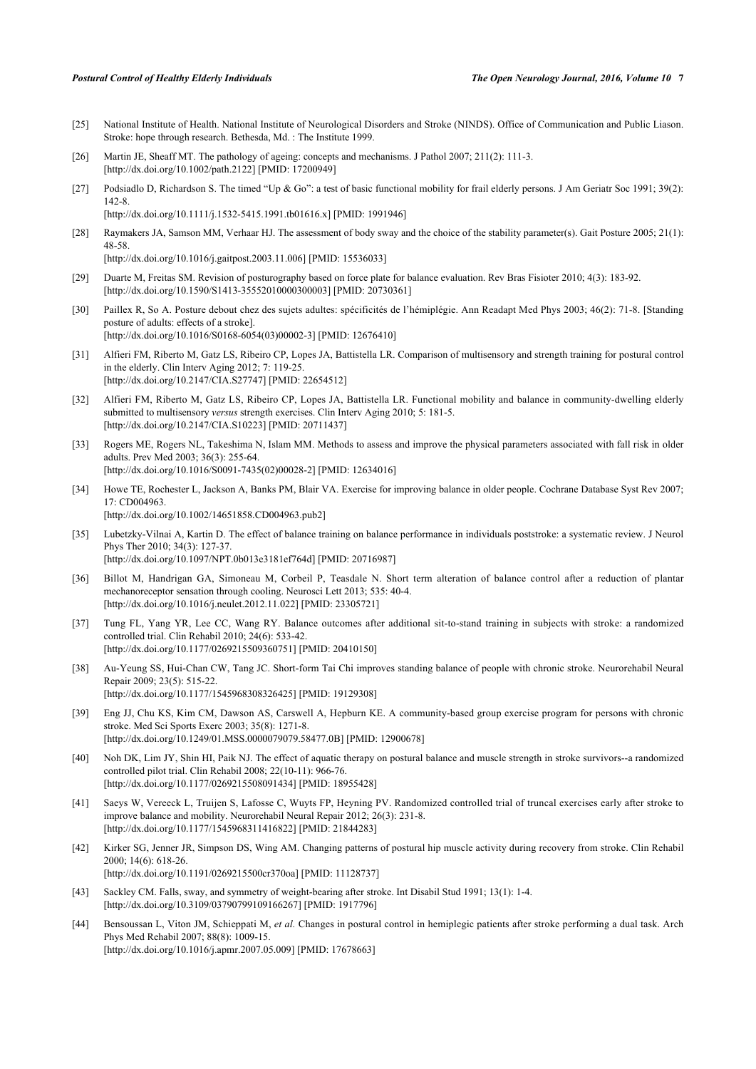- <span id="page-6-0"></span>[25] National Institute of Health. National Institute of Neurological Disorders and Stroke (NINDS). Office of Communication and Public Liason. Stroke: hope through research. Bethesda, Md. : The Institute 1999.
- <span id="page-6-1"></span>[26] Martin JE, Sheaff MT. The pathology of ageing: concepts and mechanisms. J Pathol 2007; 211(2): 111-3. [\[http://dx.doi.org/10.1002/path.2122\]](http://dx.doi.org/10.1002/path.2122) [PMID: [17200949](http://www.ncbi.nlm.nih.gov/pubmed/17200949)]
- <span id="page-6-2"></span>[27] Podsiadlo D, Richardson S. The timed "Up & Go": a test of basic functional mobility for frail elderly persons. J Am Geriatr Soc 1991; 39(2): 142-8. [\[http://dx.doi.org/10.1111/j.1532-5415.1991.tb01616.x\]](http://dx.doi.org/10.1111/j.1532-5415.1991.tb01616.x) [PMID: [1991946](http://www.ncbi.nlm.nih.gov/pubmed/1991946)]
- <span id="page-6-3"></span>[28] Raymakers JA, Samson MM, Verhaar HJ. The assessment of body sway and the choice of the stability parameter(s), Gait Posture 2005; 21(1): 48-58. [\[http://dx.doi.org/10.1016/j.gaitpost.2003.11.006](http://dx.doi.org/10.1016/j.gaitpost.2003.11.006)] [PMID: [15536033\]](http://www.ncbi.nlm.nih.gov/pubmed/15536033)
- <span id="page-6-4"></span>[29] Duarte M, Freitas SM. Revision of posturography based on force plate for balance evaluation. Rev Bras Fisioter 2010; 4(3): 183-92. [\[http://dx.doi.org/10.1590/S1413-35552010000300003\]](http://dx.doi.org/10.1590/S1413-35552010000300003) [PMID: [20730361](http://www.ncbi.nlm.nih.gov/pubmed/20730361)]
- <span id="page-6-5"></span>[30] Paillex R, So A. Posture debout chez des sujets adultes: spécificités de l'hémiplégie. Ann Readapt Med Phys 2003; 46(2): 71-8. [Standing posture of adults: effects of a stroke]. [\[http://dx.doi.org/10.1016/S0168-6054\(03\)00002-3\]](http://dx.doi.org/10.1016/S0168-6054(03)00002-3) [PMID: [12676410](http://www.ncbi.nlm.nih.gov/pubmed/12676410)]
- <span id="page-6-6"></span>[31] Alfieri FM, Riberto M, Gatz LS, Ribeiro CP, Lopes JA, Battistella LR. Comparison of multisensory and strength training for postural control in the elderly. Clin Interv Aging 2012; 7: 119-25. [\[http://dx.doi.org/10.2147/CIA.S27747](http://dx.doi.org/10.2147/CIA.S27747)] [PMID: [22654512\]](http://www.ncbi.nlm.nih.gov/pubmed/22654512)
- [32] Alfieri FM, Riberto M, Gatz LS, Ribeiro CP, Lopes JA, Battistella LR. Functional mobility and balance in community-dwelling elderly submitted to multisensory *versus* strength exercises. Clin Interv Aging 2010; 5: 181-5. [\[http://dx.doi.org/10.2147/CIA.S10223](http://dx.doi.org/10.2147/CIA.S10223)] [PMID: [20711437\]](http://www.ncbi.nlm.nih.gov/pubmed/20711437)
- <span id="page-6-13"></span>[33] Rogers ME, Rogers NL, Takeshima N, Islam MM. Methods to assess and improve the physical parameters associated with fall risk in older adults. Prev Med 2003; 36(3): 255-64. [\[http://dx.doi.org/10.1016/S0091-7435\(02\)00028-2\]](http://dx.doi.org/10.1016/S0091-7435(02)00028-2) [PMID: [12634016](http://www.ncbi.nlm.nih.gov/pubmed/12634016)]
- <span id="page-6-7"></span>[34] Howe TE, Rochester L, Jackson A, Banks PM, Blair VA. Exercise for improving balance in older people. Cochrane Database Syst Rev 2007; 17: CD004963. [\[http://dx.doi.org/10.1002/14651858.CD004963.pub2\]](http://dx.doi.org/10.1002/14651858.CD004963.pub2)
- <span id="page-6-8"></span>[35] Lubetzky-Vilnai A, Kartin D. The effect of balance training on balance performance in individuals poststroke: a systematic review. J Neurol Phys Ther 2010; 34(3): 127-37. [\[http://dx.doi.org/10.1097/NPT.0b013e3181ef764d\]](http://dx.doi.org/10.1097/NPT.0b013e3181ef764d) [PMID: [20716987](http://www.ncbi.nlm.nih.gov/pubmed/20716987)]
- [36] Billot M, Handrigan GA, Simoneau M, Corbeil P, Teasdale N. Short term alteration of balance control after a reduction of plantar mechanoreceptor sensation through cooling. Neurosci Lett 2013; 535: 40-4. [\[http://dx.doi.org/10.1016/j.neulet.2012.11.022\]](http://dx.doi.org/10.1016/j.neulet.2012.11.022) [PMID: [23305721](http://www.ncbi.nlm.nih.gov/pubmed/23305721)]
- [37] Tung FL, Yang YR, Lee CC, Wang RY. Balance outcomes after additional sit-to-stand training in subjects with stroke: a randomized controlled trial. Clin Rehabil 2010; 24(6): 533-42. [\[http://dx.doi.org/10.1177/0269215509360751\]](http://dx.doi.org/10.1177/0269215509360751) [PMID: [20410150](http://www.ncbi.nlm.nih.gov/pubmed/20410150)]
- [38] Au-Yeung SS, Hui-Chan CW, Tang JC. Short-form Tai Chi improves standing balance of people with chronic stroke. Neurorehabil Neural Repair 2009; 23(5): 515-22. [\[http://dx.doi.org/10.1177/1545968308326425\]](http://dx.doi.org/10.1177/1545968308326425) [PMID: [19129308](http://www.ncbi.nlm.nih.gov/pubmed/19129308)]
- [39] Eng JJ, Chu KS, Kim CM, Dawson AS, Carswell A, Hepburn KE. A community-based group exercise program for persons with chronic stroke. Med Sci Sports Exerc 2003; 35(8): 1271-8. [\[http://dx.doi.org/10.1249/01.MSS.0000079079.58477.0B](http://dx.doi.org/10.1249/01.MSS.0000079079.58477.0B)] [PMID: [12900678\]](http://www.ncbi.nlm.nih.gov/pubmed/12900678)
- [40] Noh DK, Lim JY, Shin HI, Paik NJ. The effect of aquatic therapy on postural balance and muscle strength in stroke survivors--a randomized controlled pilot trial. Clin Rehabil 2008; 22(10-11): 966-76. [\[http://dx.doi.org/10.1177/0269215508091434\]](http://dx.doi.org/10.1177/0269215508091434) [PMID: [18955428](http://www.ncbi.nlm.nih.gov/pubmed/18955428)]
- <span id="page-6-9"></span>[41] Saeys W, Vereeck L, Truijen S, Lafosse C, Wuyts FP, Heyning PV. Randomized controlled trial of truncal exercises early after stroke to improve balance and mobility. Neurorehabil Neural Repair 2012; 26(3): 231-8. [\[http://dx.doi.org/10.1177/1545968311416822\]](http://dx.doi.org/10.1177/1545968311416822) [PMID: [21844283](http://www.ncbi.nlm.nih.gov/pubmed/21844283)]
- <span id="page-6-10"></span>[42] Kirker SG, Jenner JR, Simpson DS, Wing AM. Changing patterns of postural hip muscle activity during recovery from stroke. Clin Rehabil 2000; 14(6): 618-26.
	- [\[http://dx.doi.org/10.1191/0269215500cr370oa\]](http://dx.doi.org/10.1191/0269215500cr370oa) [PMID: [11128737](http://www.ncbi.nlm.nih.gov/pubmed/11128737)]
- <span id="page-6-11"></span>[43] Sackley CM. Falls, sway, and symmetry of weight-bearing after stroke. Int Disabil Stud 1991; 13(1): 1-4. [\[http://dx.doi.org/10.3109/03790799109166267\]](http://dx.doi.org/10.3109/03790799109166267) [PMID: [1917796](http://www.ncbi.nlm.nih.gov/pubmed/1917796)]
- <span id="page-6-12"></span>[44] Bensoussan L, Viton JM, Schieppati M, *et al.* Changes in postural control in hemiplegic patients after stroke performing a dual task. Arch Phys Med Rehabil 2007; 88(8): 1009-15. [\[http://dx.doi.org/10.1016/j.apmr.2007.05.009](http://dx.doi.org/10.1016/j.apmr.2007.05.009)] [PMID: [17678663](http://www.ncbi.nlm.nih.gov/pubmed/17678663)]